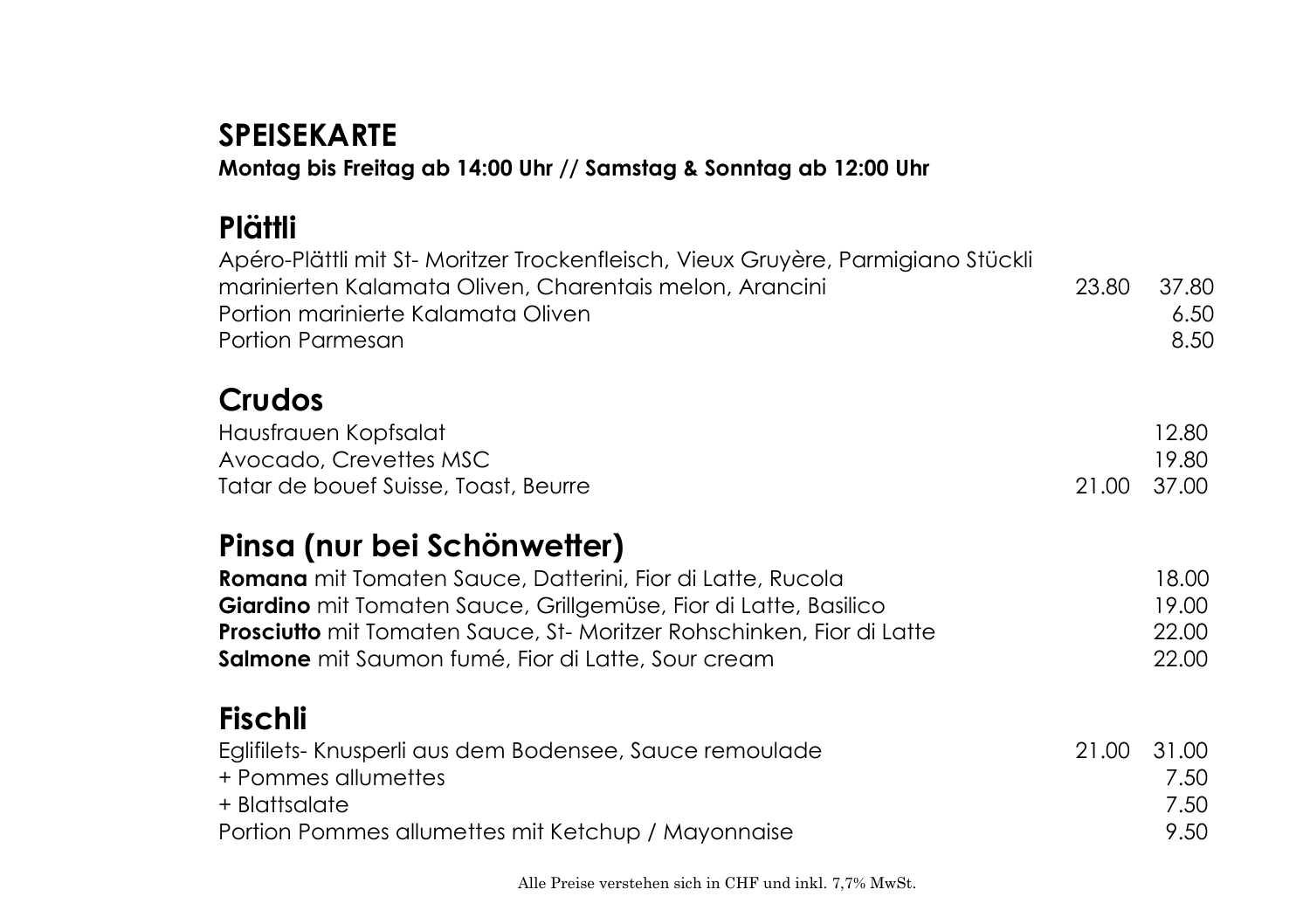## **SPEISEKARTE Montag bis Freitag ab 14:00 Uhr // Samstag & Sonntag ab 12:00 Uhr**

## **Plättli**

| Apéro-Plättli mit St- Moritzer Trockenfleisch, Vieux Gruyère, Parmigiano Stückli<br>marinierten Kalamata Oliven, Charentais melon, Arancini<br>Portion marinierte Kalamata Oliven<br>Portion Parmesan | 23.80 | 37.80<br>6.5C<br>8.5C |
|-------------------------------------------------------------------------------------------------------------------------------------------------------------------------------------------------------|-------|-----------------------|
| Crudos                                                                                                                                                                                                |       |                       |
| Hausfrauen Kopfsalat                                                                                                                                                                                  |       | 12.80                 |
| Avocado, Crevettes MSC                                                                                                                                                                                |       | 19.80                 |
| Tatar de bouef Suisse, Toast, Beurre                                                                                                                                                                  | 21.00 | 37.00                 |
| Pinsa (nur bei Schönwetter)                                                                                                                                                                           |       |                       |
| Romana mit Tomaten Sauce, Datterini, Fior di Latte, Rucola                                                                                                                                            |       | 18.00                 |
| Giardino mit Tomaten Sauce, Grillgemüse, Fior di Latte, Basilico                                                                                                                                      |       | 19.00                 |
| <b>Prosciutto</b> mit Tomaten Sauce, St-Moritzer Rohschinken, Fior di Latte                                                                                                                           |       | 22.00                 |
| Salmone mit Saumon fumé, Fior di Latte, Sour cream                                                                                                                                                    |       | 22.00                 |
| <b>Fischli</b>                                                                                                                                                                                        |       |                       |
| Eglifilets- Knusperli aus dem Bodensee, Sauce remoulade                                                                                                                                               | 21.00 | 31.00                 |
| + Pommes allumettes                                                                                                                                                                                   |       | 7.50                  |
| + Blattsalate                                                                                                                                                                                         |       | 7.50                  |
| Portion Pommes allumettes mit Ketchup / Mayonnaise                                                                                                                                                    |       | 9.50                  |
|                                                                                                                                                                                                       |       |                       |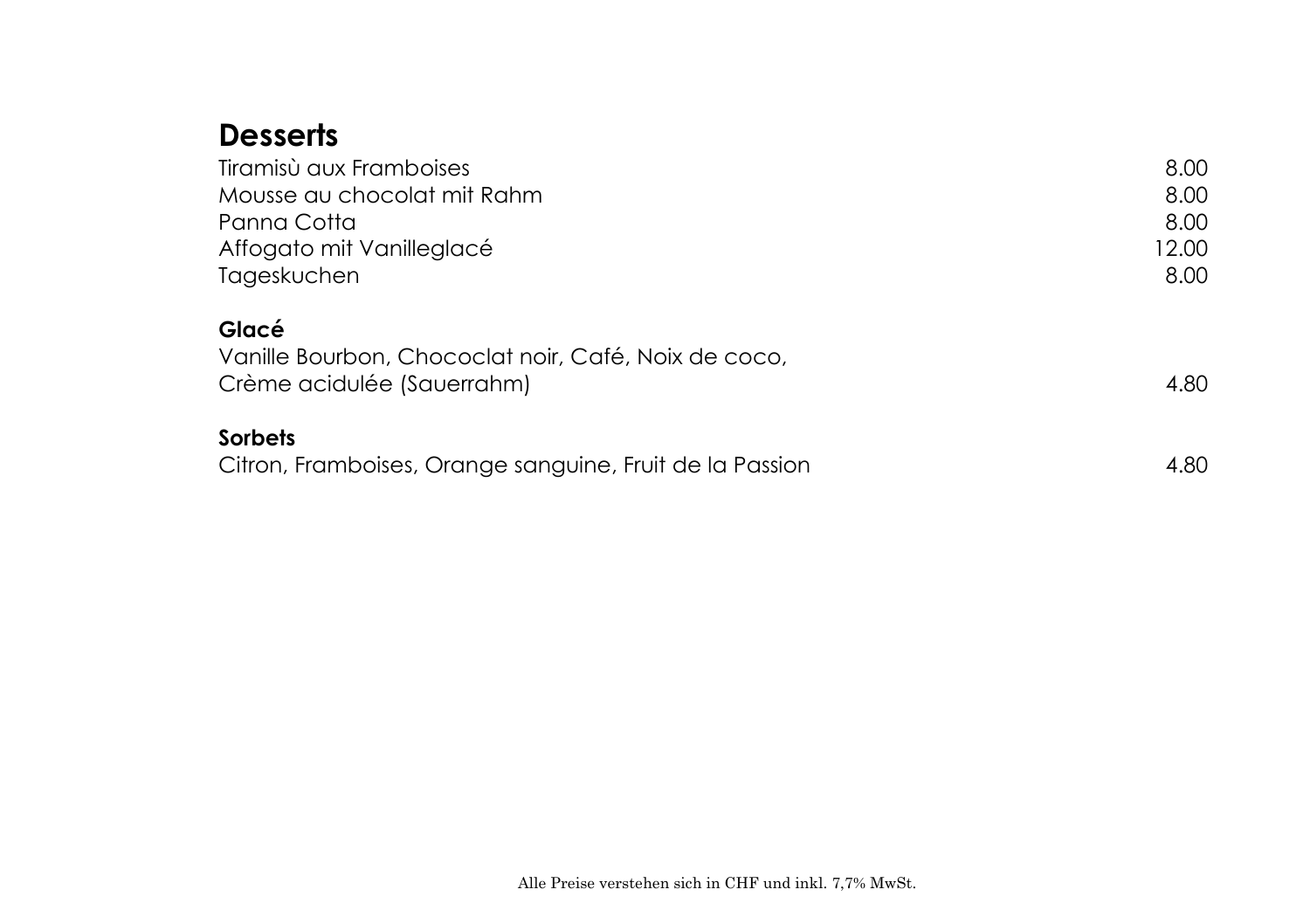## **Desserts**

| Tiramisù aux Framboises                                  | 8.00  |
|----------------------------------------------------------|-------|
| Mousse au chocolat mit Rahm                              | 8.00  |
| Panna Cotta                                              | 8.00  |
| Affogato mit Vanilleglacé                                | 12.00 |
| Tageskuchen                                              | 8.00  |
| Glacé                                                    |       |
| Vanille Bourbon, Chococlat noir, Café, Noix de coco,     |       |
| Crème acidulée (Sauerrahm)                               | 4.80  |
| <b>Sorbets</b>                                           |       |
| Citron, Framboises, Orange sanguine, Fruit de la Passion | 4.80  |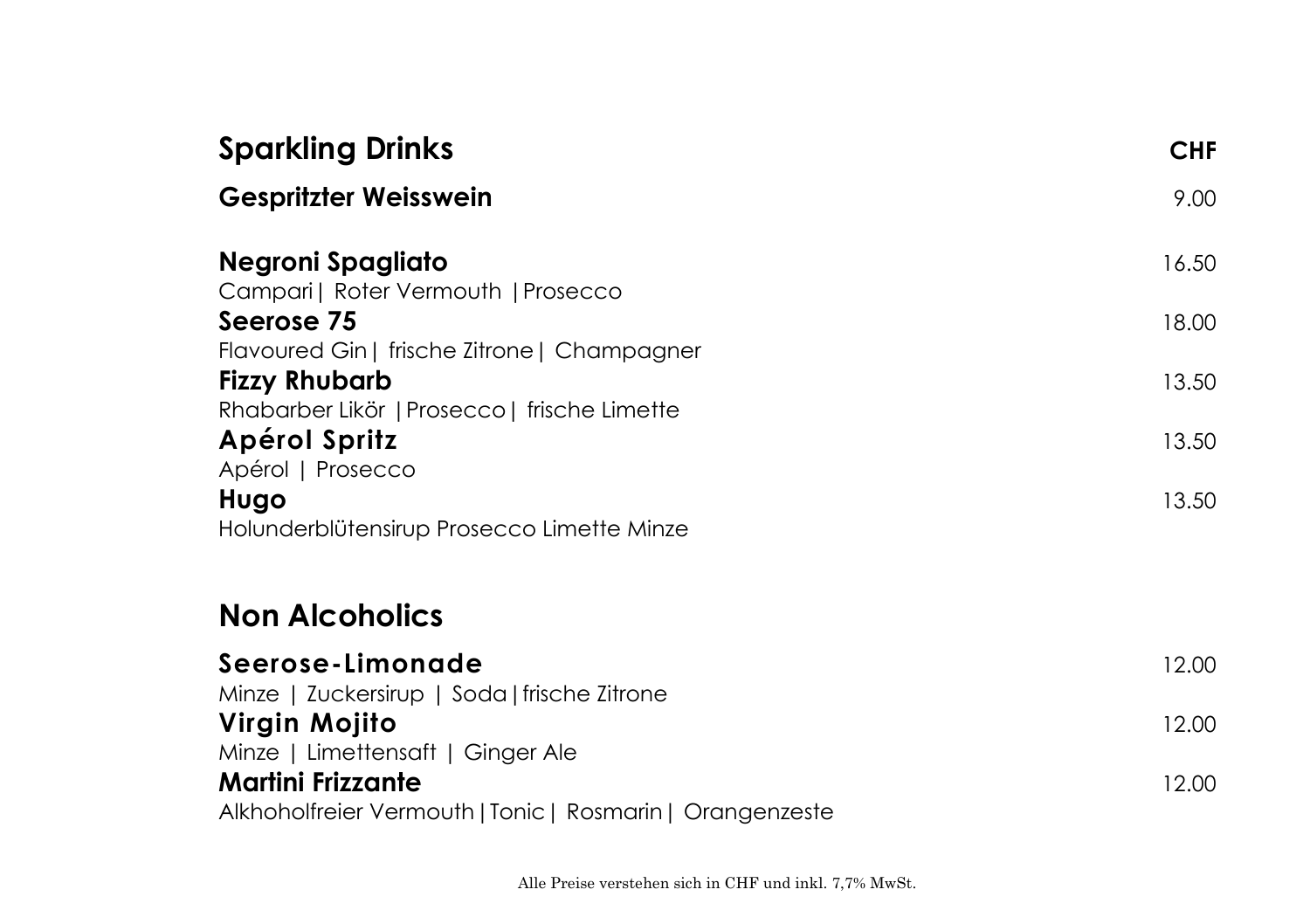| <b>Sparkling Drinks</b>                                   | <b>CHF</b> |
|-----------------------------------------------------------|------------|
| <b>Gespritzter Weisswein</b>                              | 9.00       |
| Negroni Spagliato                                         | 16.50      |
| Campari   Roter Vermouth   Prosecco<br>Seerose 75         | 18.00      |
| Flavoured Gin   frische Zitrone   Champagner              |            |
| <b>Fizzy Rhubarb</b>                                      | 13.50      |
| Rhabarber Likör   Prosecco   frische Limette              |            |
| Apérol Spritz<br>Apérol   Prosecco                        | 13.50      |
| Hugo                                                      | 13.50      |
| Holunderblütensirup Prosecco Limette Minze                |            |
| <b>Non Alcoholics</b>                                     |            |
| Seerose-Limonade                                          | 12.00      |
| Minze   Zuckersirup   Soda   frische Zitrone              |            |
| Virgin Mojito                                             | 12.00      |
| Minze   Limettensaft   Ginger Ale                         |            |
| <b>Martini Frizzante</b>                                  | 12.00      |
| Alkhoholfreier Vermouth   Tonic   Rosmarin   Orangenzeste |            |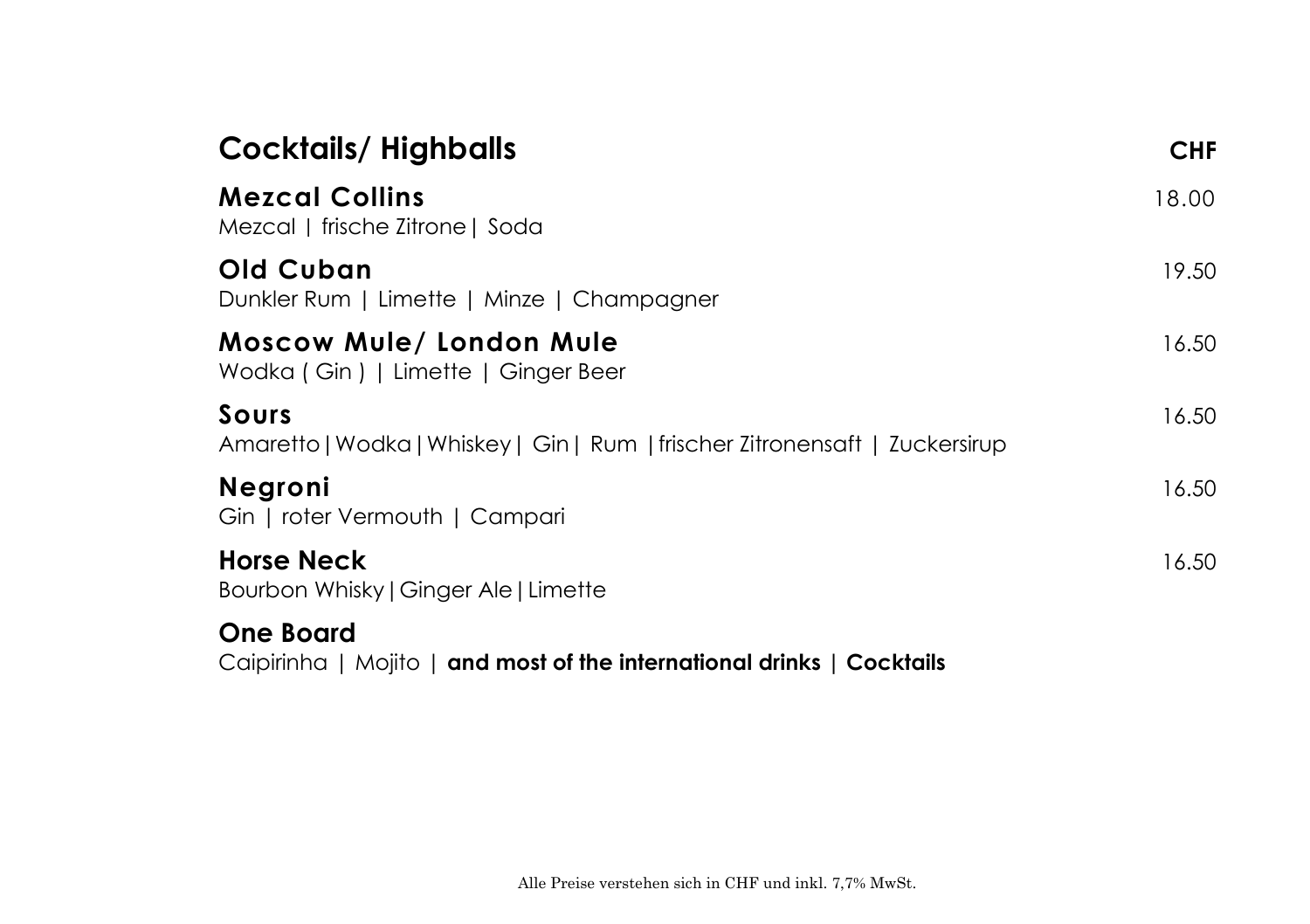| <b>Cocktails/Highballs</b>                                                                 | <b>CHF</b> |
|--------------------------------------------------------------------------------------------|------------|
| <b>Mezcal Collins</b><br>Mezcal   frische Zitrone   Soda                                   | 18.00      |
| Old Cuban<br>Dunkler Rum   Limette   Minze   Champagner                                    | 19.50      |
| <b>Moscow Mule/ London Mule</b><br>Wodka (Gin)   Limette   Ginger Beer                     | 16.50      |
| Sours<br>Amaretto   Wodka   Whiskey   Gin   Rum   frischer Zitronensaft   Zuckersirup      | 16.50      |
| <b>Negroni</b><br>Gin   roter Vermouth   Campari                                           | 16.50      |
| <b>Horse Neck</b><br>Bourbon Whisky   Ginger Ale   Limette                                 | 16.50      |
| <b>One Board</b><br>Caipirinha   Mojito   and most of the international drinks   Cocktails |            |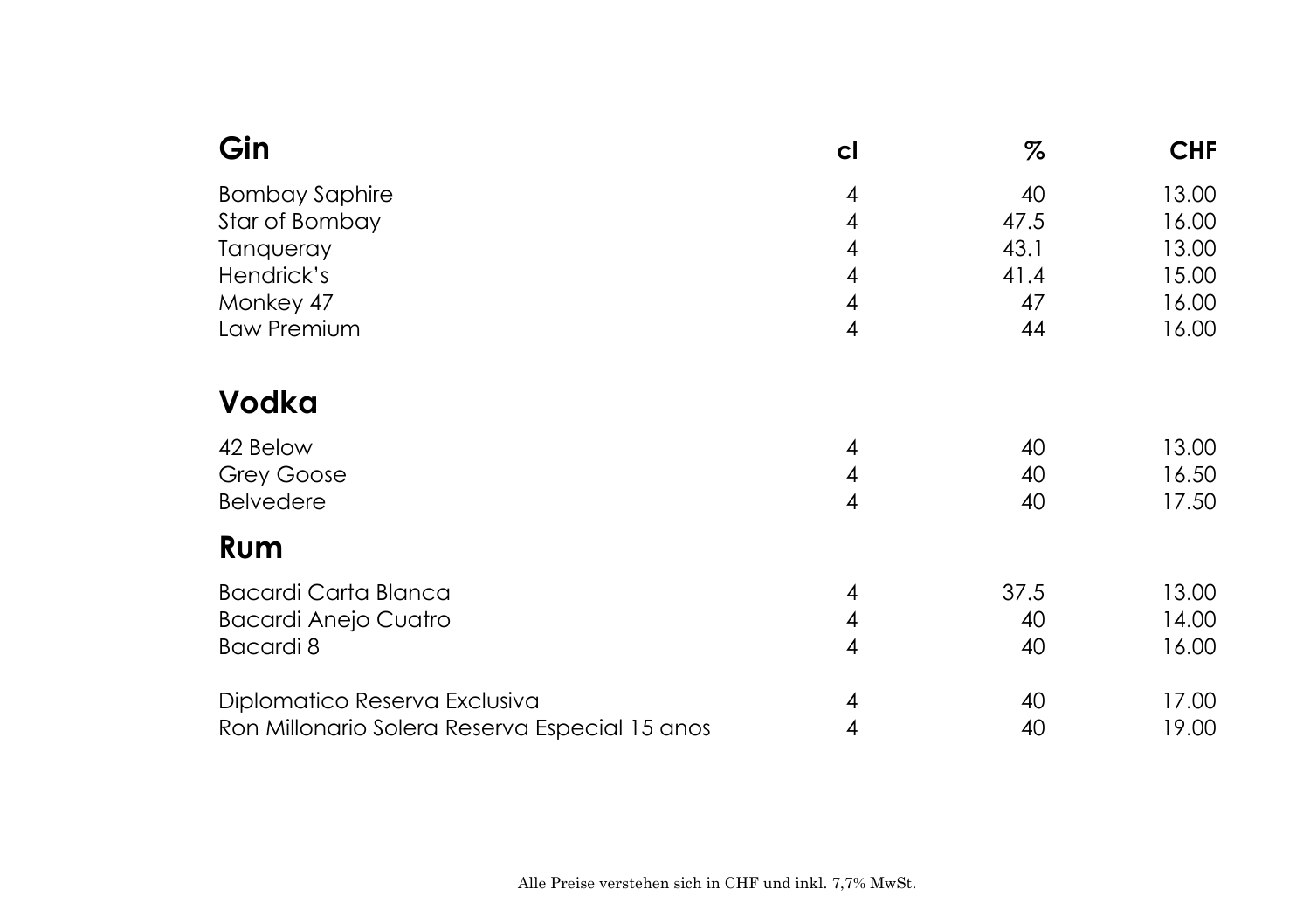| Gin                                            | cl | %    | <b>CHF</b> |
|------------------------------------------------|----|------|------------|
| <b>Bombay Saphire</b>                          | 4  | 40   | 13.00      |
| Star of Bombay                                 | 4  | 47.5 | 16.00      |
| Tanqueray                                      | 4  | 43.1 | 13.00      |
| Hendrick's                                     | 4  | 41.4 | 15.00      |
| Monkey 47                                      | 4  | 47   | 16.00      |
| Law Premium                                    | 4  | 44   | 16.00      |
| <b>Vodka</b>                                   |    |      |            |
| 42 Below                                       | 4  | 40   | 13.00      |
| Grey Goose                                     | 4  | 40   | 16.50      |
| <b>Belvedere</b>                               | 4  | 40   | 17.50      |
| Rum                                            |    |      |            |
| <b>Bacardi Carta Blanca</b>                    | 4  | 37.5 | 13.00      |
| <b>Bacardi Anejo Cuatro</b>                    | 4  | 40   | 14.00      |
| Bacardi 8                                      | 4  | 40   | 16.00      |
| Diplomatico Reserva Exclusiva                  | 4  | 40   | 17.00      |
| Ron Millonario Solera Reserva Especial 15 anos | 4  | 40   | 19.00      |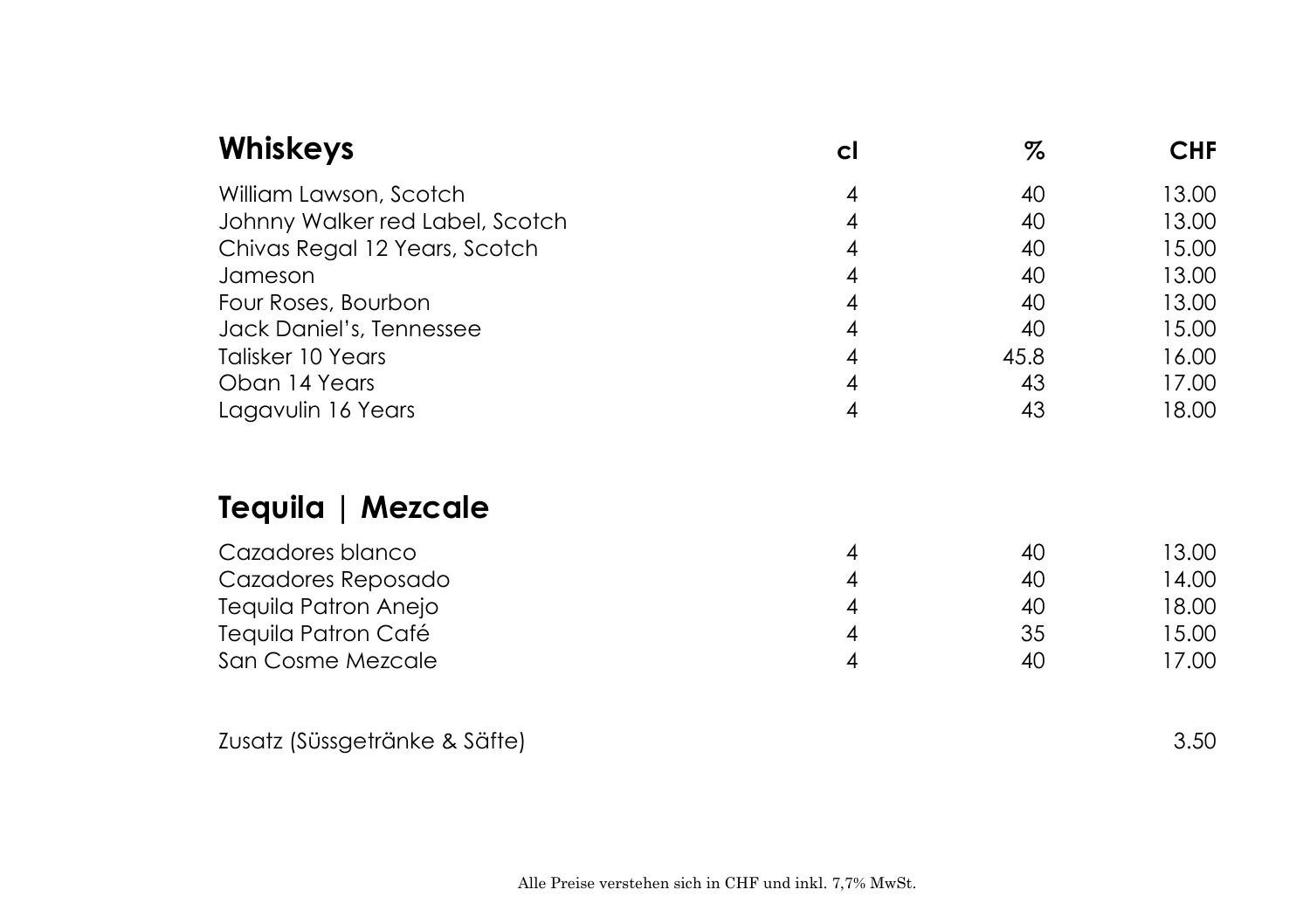| <b>Whiskeys</b>                 | cl | %    | <b>CHF</b> |
|---------------------------------|----|------|------------|
| William Lawson, Scotch          | 4  | 40   | 13.00      |
| Johnny Walker red Label, Scotch | 4  | 40   | 13.00      |
| Chivas Regal 12 Years, Scotch   | 4  | 40   | 15.00      |
| Jameson                         | 4  | 40   | 13.00      |
| Four Roses, Bourbon             | 4  | 40   | 13.00      |
| Jack Daniel's, Tennessee        | 4  | 40   | 15.00      |
| Talisker 10 Years               | 4  | 45.8 | 16.00      |
| Oban 14 Years                   | 4  | 43   | 17.00      |
| Lagavulin 16 Years              | 4  | 43   | 18.00      |
| Tequila   Mezcale               |    |      |            |
| Cazadores blanco                | 4  | 40   | 13.00      |
| Cazadores Reposado              | 4  | 40   | 14.00      |
| Tequila Patron Anejo            | 4  | 40   | 18.00      |
| Tequila Patron Café             | 4  | 35   | 15.00      |
| San Cosme Mezcale               | 4  | 40   | 17.00      |
| Zusatz (Süssgetränke & Säfte)   |    |      | 3.50       |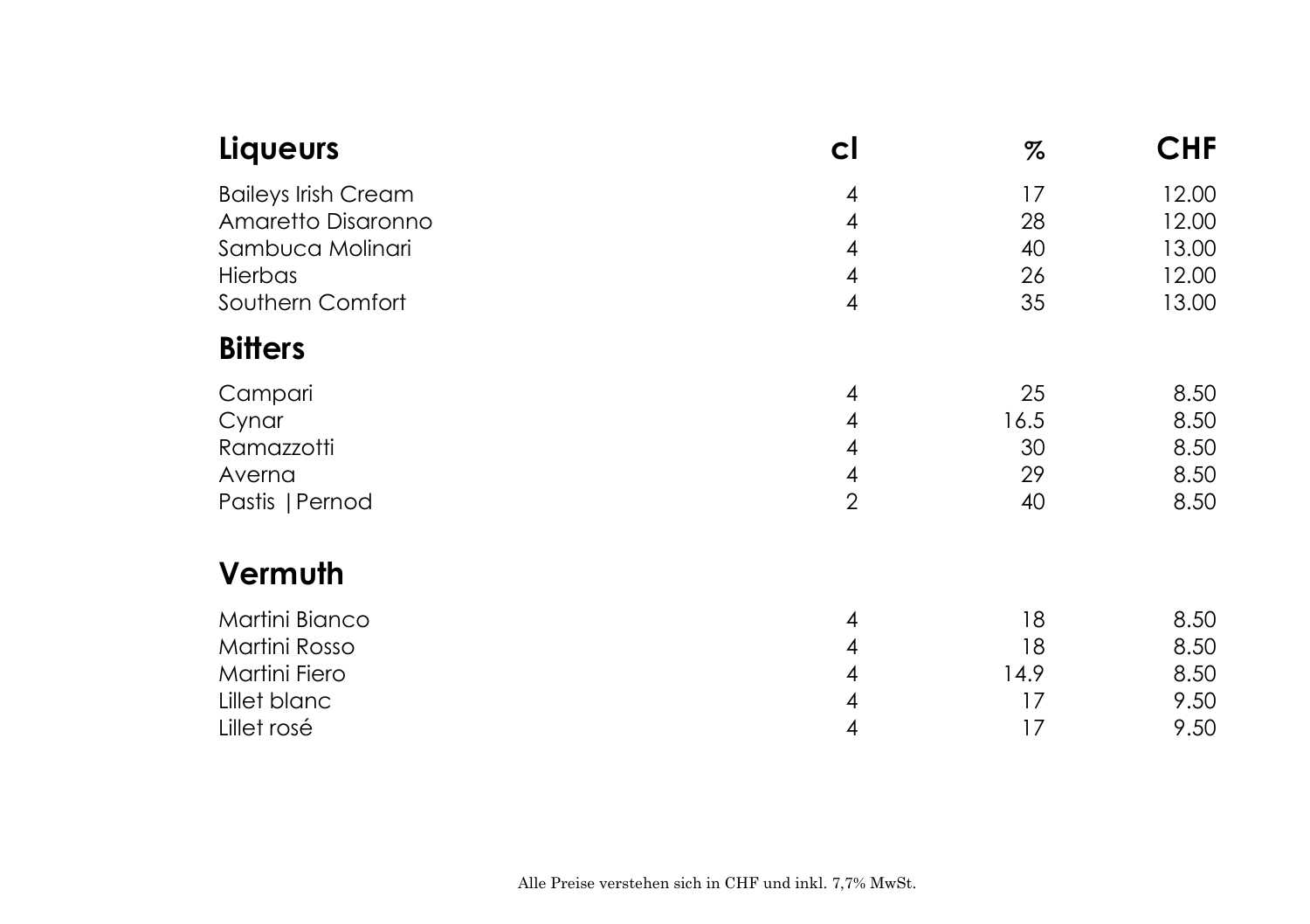| Liqueurs                   | cl             | %    | <b>CHF</b> |
|----------------------------|----------------|------|------------|
| <b>Baileys Irish Cream</b> | 4              | 17   | 12.00      |
| Amaretto Disaronno         | 4              | 28   | 12.00      |
| Sambuca Molinari           | 4              | 40   | 13.00      |
| Hierbas                    | 4              | 26   | 12.00      |
| Southern Comfort           | 4              | 35   | 13.00      |
| <b>Bitters</b>             |                |      |            |
| Campari                    | 4              | 25   | 8.50       |
| Cynar                      | 4              | 16.5 | 8.50       |
| Ramazzotti                 | 4              | 30   | 8.50       |
| Averna                     | 4              | 29   | 8.50       |
| Pastis   Pernod            | $\overline{2}$ | 40   | 8.50       |
| Vermuth                    |                |      |            |
| Martini Bianco             | 4              | 18   | 8.50       |
| Martini Rosso              | 4              | 18   | 8.50       |
| Martini Fiero              | 4              | 14.9 | 8.50       |
| Lillet blanc               | 4              | 17   | 9.50       |
| Lillet rosé                | 4              | 17   | 9.50       |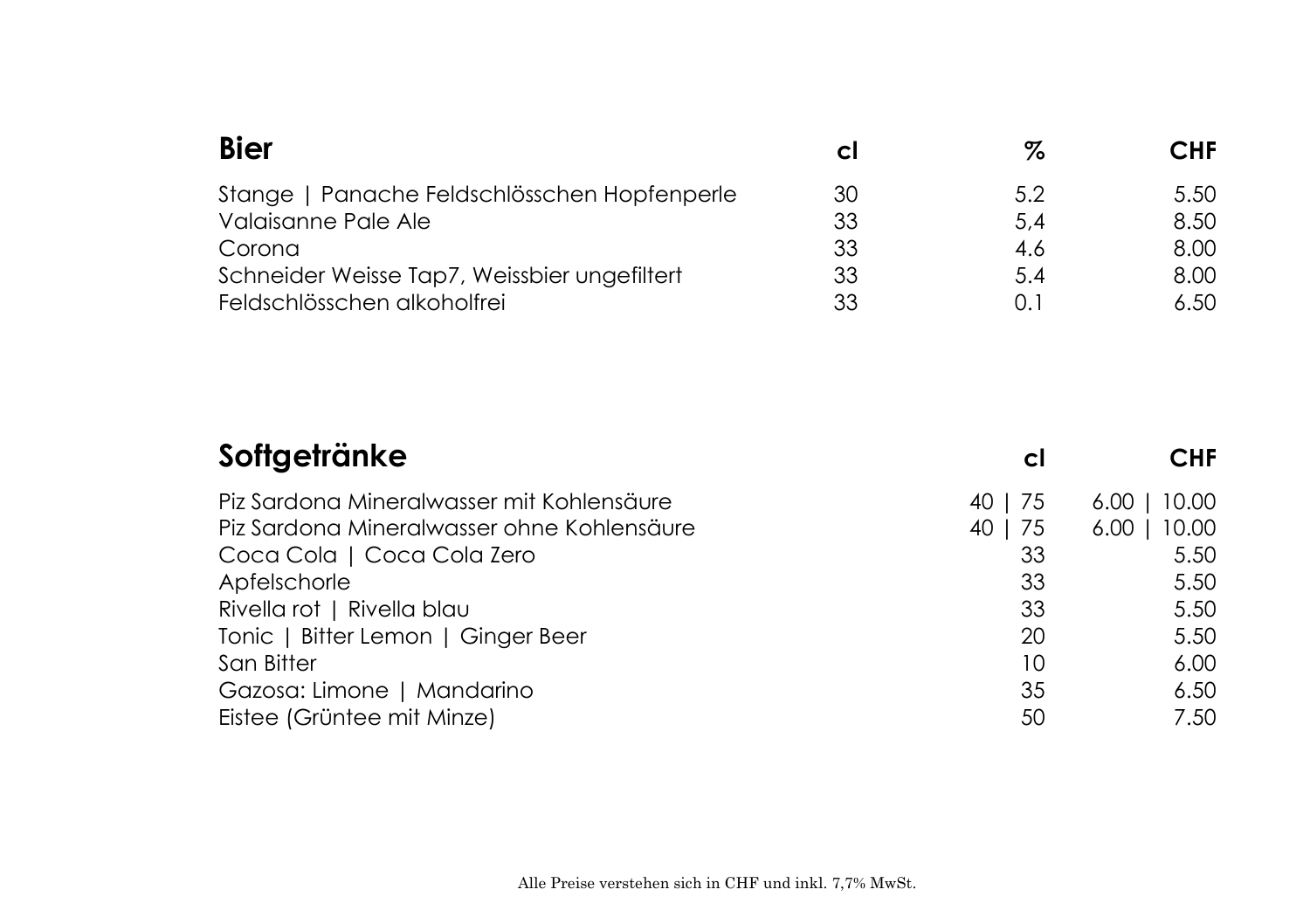| <b>Bier</b>                                  | C. | %   | CHF  |
|----------------------------------------------|----|-----|------|
| Stange   Panache Feldschlösschen Hopfenperle | 30 | 5.2 | 5.50 |
| Valaisanne Pale Ale                          | 33 | 5,4 | 8.50 |
| Corona                                       | 33 | 4.6 | 8.00 |
| Schneider Weisse Tap7, Weissbier ungefiltert | 33 | 5.4 | 8.00 |
| Feldschlösschen alkoholfrei                  | 33 | 0.1 | 6.50 |

| Softgetränke                               | C.      | <b>CHF</b>    |
|--------------------------------------------|---------|---------------|
| Piz Sardona Mineralwasser mit Kohlensäure  | 40   75 | 10.00<br>6.00 |
| Piz Sardona Mineralwasser ohne Kohlensäure | 40   75 | 10.00<br>6.00 |
| Coca Cola   Coca Cola Zero                 | 33      | 5.50          |
| Apfelschorle                               | 33      | 5.50          |
| Rivella rot   Rivella blau                 | 33      | 5.50          |
| Tonic   Bitter Lemon   Ginger Beer         | 20      | 5.50          |
| San Bitter                                 | 10      | 6.00          |
| Gazosa: Limone   Mandarino                 | 35      | 6.50          |
| Eistee (Grüntee mit Minze)                 | 50      | 7.50          |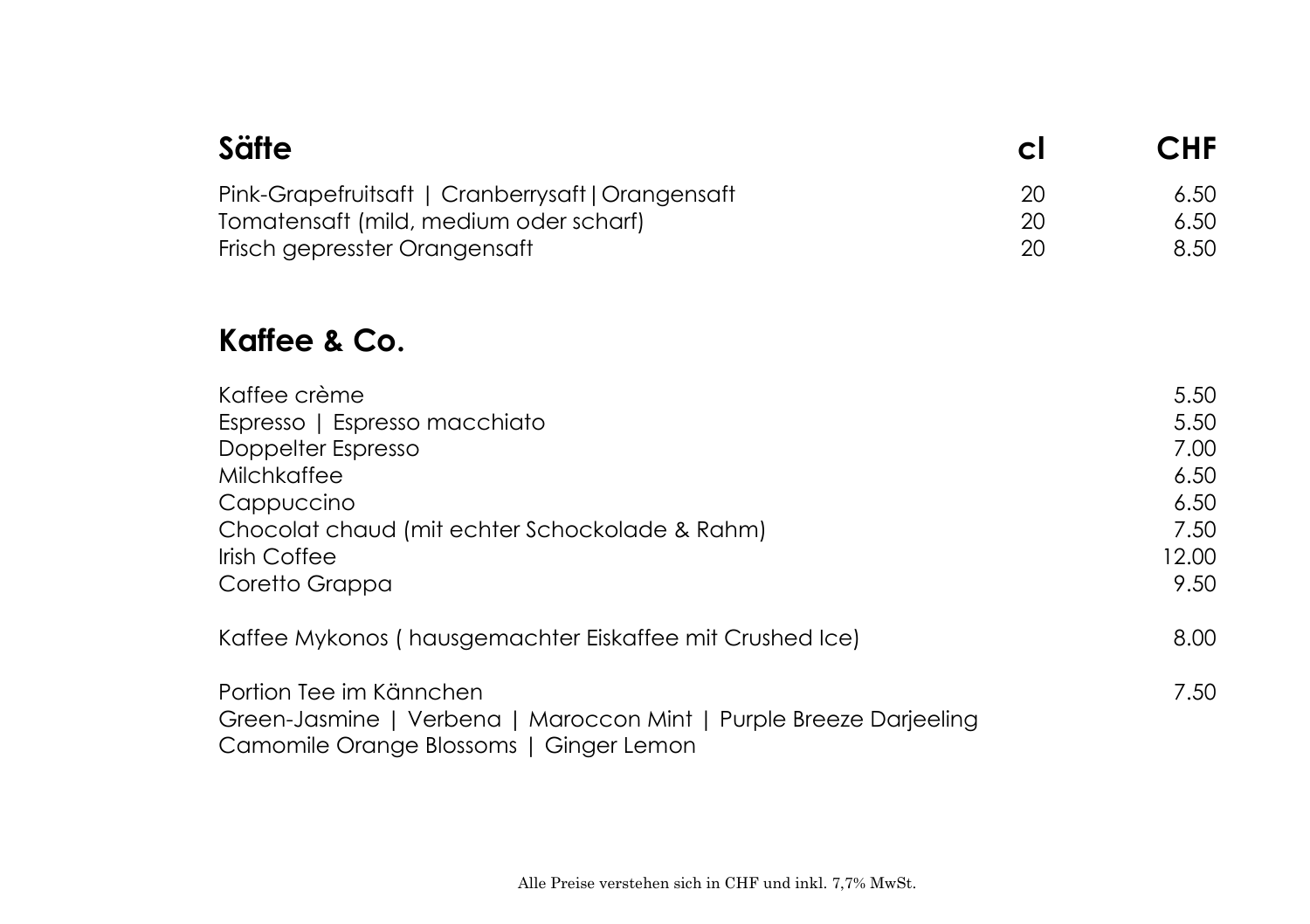| <b>Säfte</b>                                                                                                                                                                                | Сl             | CHF                                                           |
|---------------------------------------------------------------------------------------------------------------------------------------------------------------------------------------------|----------------|---------------------------------------------------------------|
| Pink-Grapefruitsaft   Cranberrysaft   Orangensaft<br>Tomatensaft (mild, medium oder scharf)<br>Frisch gepresster Orangensaft                                                                | 20<br>20<br>20 | 6.50<br>6.50<br>8.50                                          |
| Kaffee & Co.                                                                                                                                                                                |                |                                                               |
| Kaffee crème<br>Espresso   Espresso macchiato<br>Doppelter Espresso<br><b>Milchkaffee</b><br>Cappuccino<br>Chocolat chaud (mit echter Schockolade & Rahm)<br>Irish Coffee<br>Coretto Grappa |                | 5.50<br>5.50<br>7.00<br>6.50<br>6.50<br>7.50<br>12.00<br>9.50 |
| Kaffee Mykonos (hausgemachter Eiskaffee mit Crushed Ice)                                                                                                                                    |                | 8.00                                                          |
| Portion Tee im Kännchen<br>Green-Jasmine   Verbena   Maroccon Mint   Purple Breeze Darjeeling<br>Camomile Orange Blossoms   Ginger Lemon                                                    |                | 7.50                                                          |